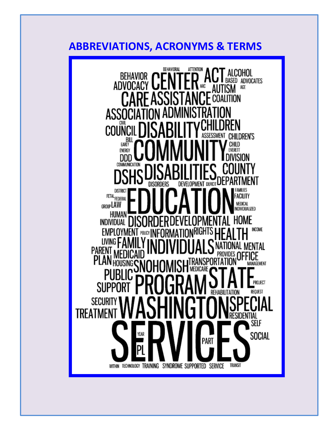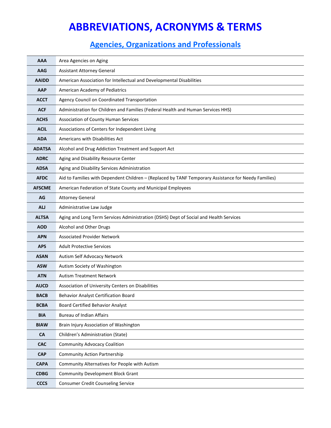| <b>AAA</b>    | Area Agencies on Aging                                                                               |
|---------------|------------------------------------------------------------------------------------------------------|
| <b>AAG</b>    | <b>Assistant Attorney General</b>                                                                    |
| <b>AAIDD</b>  | American Association for Intellectual and Developmental Disabilities                                 |
| <b>AAP</b>    | American Academy of Pediatrics                                                                       |
| <b>ACCT</b>   | Agency Council on Coordinated Transportation                                                         |
| <b>ACF</b>    | Administration for Children and Families (Federal Health and Human Services HHS)                     |
| <b>ACHS</b>   | <b>Association of County Human Services</b>                                                          |
| <b>ACIL</b>   | Associations of Centers for Independent Living                                                       |
| <b>ADA</b>    | Americans with Disabilities Act                                                                      |
| <b>ADATSA</b> | Alcohol and Drug Addiction Treatment and Support Act                                                 |
| <b>ADRC</b>   | Aging and Disability Resource Center                                                                 |
| <b>ADSA</b>   | Aging and Disability Services Administration                                                         |
| <b>AFDC</b>   | Aid to Families with Dependent Children - (Replaced by TANF Temporary Assistance for Needy Families) |
| <b>AFSCME</b> | American Federation of State County and Municipal Employees                                          |
| AG            | <b>Attorney General</b>                                                                              |
| <b>ALJ</b>    | Administrative Law Judge                                                                             |
| <b>ALTSA</b>  | Aging and Long Term Services Administration (DSHS) Dept of Social and Health Services                |
| <b>AOD</b>    | Alcohol and Other Drugs                                                                              |
| <b>APN</b>    | <b>Associated Provider Network</b>                                                                   |
| <b>APS</b>    | <b>Adult Protective Services</b>                                                                     |
| <b>ASAN</b>   | Autism Self Advocacy Network                                                                         |
| <b>ASW</b>    | Autism Society of Washington                                                                         |
| <b>ATN</b>    | <b>Autism Treatment Network</b>                                                                      |
| <b>AUCD</b>   | Association of University Centers on Disabilities                                                    |
| <b>BACB</b>   | <b>Behavior Analyst Certification Board</b>                                                          |
| <b>BCBA</b>   | <b>Board Certified Behavior Analyst</b>                                                              |
| <b>BIA</b>    | <b>Bureau of Indian Affairs</b>                                                                      |
| <b>BIAW</b>   | Brain Injury Association of Washington                                                               |
| <b>CA</b>     | Children's Administration (State)                                                                    |
| <b>CAC</b>    | <b>Community Advocacy Coalition</b>                                                                  |
| <b>CAP</b>    | <b>Community Action Partnership</b>                                                                  |
| <b>CAPA</b>   | Community Alternatives for People with Autism                                                        |
| <b>CDBG</b>   | <b>Community Development Block Grant</b>                                                             |
| <b>CCCS</b>   | <b>Consumer Credit Counseling Service</b>                                                            |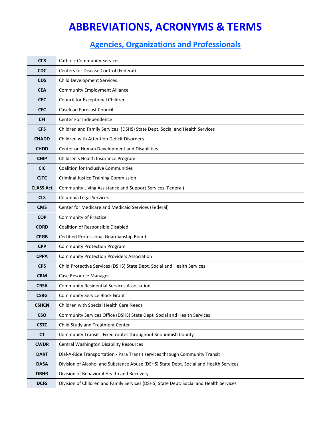| <b>CCS</b>       | <b>Catholic Community Services</b>                                                     |
|------------------|----------------------------------------------------------------------------------------|
| <b>CDC</b>       | Centers for Disease Control (Federal)                                                  |
| <b>CDS</b>       | <b>Child Development Services</b>                                                      |
| <b>CEA</b>       | <b>Community Employment Alliance</b>                                                   |
| <b>CEC</b>       | Council for Exceptional Children                                                       |
| <b>CFC</b>       | <b>Caseload Forecast Council</b>                                                       |
| <b>CFI</b>       | Center For Independence                                                                |
| <b>CFS</b>       | Children and Family Services (DSHS) State Dept. Social and Health Services             |
| <b>CHADD</b>     | <b>Children with Attention Deficit Disorders</b>                                       |
| <b>CHDD</b>      | Center on Human Development and Disabilities                                           |
| <b>CHIP</b>      | Children's Health Insurance Program                                                    |
| <b>CIC</b>       | <b>Coalition for Inclusive Communities</b>                                             |
| <b>CJTC</b>      | <b>Criminal Justice Training Commission</b>                                            |
| <b>CLASS Act</b> | Community Living Assistance and Support Services (Federal)                             |
| <b>CLS</b>       | Columbia Legal Services                                                                |
| <b>CMS</b>       | Center for Medicare and Medicaid Services (Federal)                                    |
| <b>COP</b>       | <b>Community of Practice</b>                                                           |
| <b>CORD</b>      | Coalition of Responsible Disabled                                                      |
| <b>CPGB</b>      | Certified Professional Guardianship Board                                              |
| <b>CPP</b>       | <b>Community Protection Program</b>                                                    |
| <b>CPPA</b>      | <b>Community Protection Providers Association</b>                                      |
| <b>CPS</b>       | Child Protective Services (DSHS) State Dept. Social and Health Services                |
| <b>CRM</b>       | Case Resource Manager                                                                  |
| <b>CRSA</b>      | <b>Community Residential Services Association</b>                                      |
| <b>CSBG</b>      | <b>Community Service Block Grant</b>                                                   |
| <b>CSHCN</b>     | Children with Special Health Care Needs                                                |
| <b>CSO</b>       | Community Services Office (DSHS) State Dept. Social and Health Services                |
| <b>CSTC</b>      | Child Study and Treatment Center                                                       |
| <b>CT</b>        | Community Transit - Fixed routes throughout Snohomish County                           |
| <b>CWDR</b>      | Central Washington Disability Resources                                                |
| <b>DART</b>      | Dial-A-Ride Transportation - Para Transit services through Community Transit           |
| <b>DASA</b>      | Division of Alcohol and Substance Abuse (DSHS) State Dept. Social and Health Services  |
| <b>DBHR</b>      | Division of Behavioral Health and Recovery                                             |
| <b>DCFS</b>      | Division of Children and Family Services (DSHS) State Dept. Social and Health Services |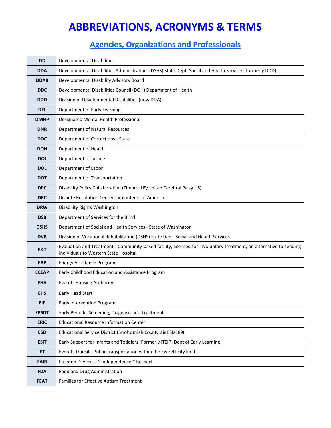| <b>DD</b>    | <b>Developmental Disabilities</b>                                                                                                                            |
|--------------|--------------------------------------------------------------------------------------------------------------------------------------------------------------|
| <b>DDA</b>   | Developmental Disabilities Administration (DSHS) State Dept. Social and Health Services (formerly DDD)                                                       |
| <b>DDAB</b>  | Developmental Disability Advisory Board                                                                                                                      |
| <b>DDC</b>   | Developmental Disabilities Council (DOH) Department of Health                                                                                                |
| <b>DDD</b>   | Division of Developmental Disabilities (now DDA)                                                                                                             |
| <b>DEL</b>   | Department of Early Learning                                                                                                                                 |
| <b>DMHP</b>  | Designated Mental Health Professional                                                                                                                        |
| <b>DNR</b>   | Department of Natural Resources                                                                                                                              |
| <b>DOC</b>   | Department of Corrections - State                                                                                                                            |
| <b>DOH</b>   | Department of Health                                                                                                                                         |
| <b>DOJ</b>   | Department of Justice                                                                                                                                        |
| <b>DOL</b>   | Department of Labor                                                                                                                                          |
| <b>DOT</b>   | Department of Transportation                                                                                                                                 |
| <b>DPC</b>   | Disability Policy Collaboration (The Arc US/United Cerebral Palsy US)                                                                                        |
| <b>DRC</b>   | Dispute Resolution Center - Volunteers of America                                                                                                            |
| <b>DRW</b>   | Disability Rights Washington                                                                                                                                 |
| <b>DSB</b>   | Department of Services for the Blind                                                                                                                         |
| <b>DSHS</b>  | Department of Social and Health Services - State of Washington                                                                                               |
| <b>DVR</b>   | Division of Vocational Rehabilitation (DSHS) State Dept. Social and Health Services                                                                          |
| E&T          | Evaluation and Treatment - Community-based facility, licensed for involuntary treatment, an alternative to sending<br>individuals to Western State Hospital. |
| <b>EAP</b>   | <b>Energy Assistance Program</b>                                                                                                                             |
| <b>ECEAP</b> | Early Childhood Education and Assistance Program                                                                                                             |
| <b>EHA</b>   | <b>Everett Housing Authority</b>                                                                                                                             |
| <b>EHS</b>   | Early Head Start                                                                                                                                             |
| <b>EIP</b>   | Early Intervention Program                                                                                                                                   |
| <b>EPSDT</b> | Early Periodic Screening, Diagnosis and Treatment                                                                                                            |
| <b>ERIC</b>  | <b>Educational Resource Information Center</b>                                                                                                               |
| <b>ESD</b>   | Educational Service District (Snohomish County is in ESD 189)                                                                                                |
| <b>ESIT</b>  | Early Support for Infants and Toddlers (Formerly ITEIP) Dept of Early Learning                                                                               |
| ET.          | Everett Transit - Public transportation within the Everett city limits                                                                                       |
| <b>FAIR</b>  | Freedom ~ Access ~ Independence ~ Respect                                                                                                                    |
| <b>FDA</b>   | Food and Drug Administration                                                                                                                                 |
| <b>FEAT</b>  | Families for Effective Autism Treatment                                                                                                                      |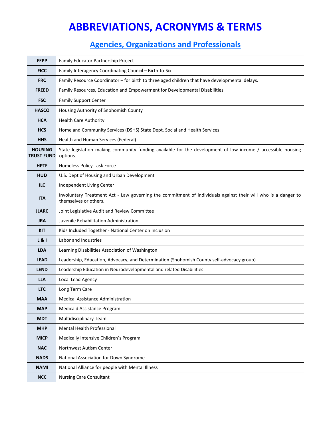| <b>FEPP</b>                         | Family Educator Partnership Project                                                                                                    |
|-------------------------------------|----------------------------------------------------------------------------------------------------------------------------------------|
| <b>FICC</b>                         | Family Interagency Coordinating Council - Birth-to-Six                                                                                 |
| <b>FRC</b>                          | Family Resource Coordinator - for birth to three aged children that have developmental delays.                                         |
| <b>FREED</b>                        | Family Resources, Education and Empowerment for Developmental Disabilities                                                             |
| <b>FSC</b>                          | <b>Family Support Center</b>                                                                                                           |
| <b>HASCO</b>                        | Housing Authority of Snohomish County                                                                                                  |
| <b>HCA</b>                          | <b>Health Care Authority</b>                                                                                                           |
| <b>HCS</b>                          | Home and Community Services (DSHS) State Dept. Social and Health Services                                                              |
| <b>HHS</b>                          | Health and Human Services (Federal)                                                                                                    |
| <b>HOUSING</b><br><b>TRUST FUND</b> | State legislation making community funding available for the development of low income / accessible housing<br>options.                |
| <b>HPTF</b>                         | Homeless Policy Task Force                                                                                                             |
| <b>HUD</b>                          | U.S. Dept of Housing and Urban Development                                                                                             |
| <b>ILC</b>                          | Independent Living Center                                                                                                              |
| <b>ITA</b>                          | Involuntary Treatment Act - Law governing the commitment of individuals against their will who is a danger to<br>themselves or others. |
| <b>JLARC</b>                        | Joint Legislative Audit and Review Committee                                                                                           |
| JRA                                 | Juvenile Rehabilitation Administration                                                                                                 |
| <b>KIT</b>                          | Kids Included Together - National Center on Inclusion                                                                                  |
| L & I                               | Labor and Industries                                                                                                                   |
| <b>LDA</b>                          | Learning Disabilities Association of Washington                                                                                        |
| <b>LEAD</b>                         | Leadership, Education, Advocacy, and Determination (Snohomish County self-advocacy group)                                              |
| <b>LEND</b>                         | Leadership Education in Neurodevelopmental and related Disabilities                                                                    |
| LLA                                 | Local Lead Agency                                                                                                                      |
| <b>LTC</b>                          | Long Term Care                                                                                                                         |
| MAA                                 | Medical Assistance Administration                                                                                                      |
| <b>MAP</b>                          | <b>Medicaid Assistance Program</b>                                                                                                     |
| <b>MDT</b>                          | Multidisciplinary Team                                                                                                                 |
| <b>MHP</b>                          | Mental Health Professional                                                                                                             |
| <b>MICP</b>                         | Medically Intensive Children's Program                                                                                                 |
| <b>NAC</b>                          | Northwest Autism Center                                                                                                                |
| <b>NADS</b>                         | National Association for Down Syndrome                                                                                                 |
| <b>NAMI</b>                         | National Alliance for people with Mental Illness                                                                                       |
| <b>NCC</b>                          | <b>Nursing Care Consultant</b>                                                                                                         |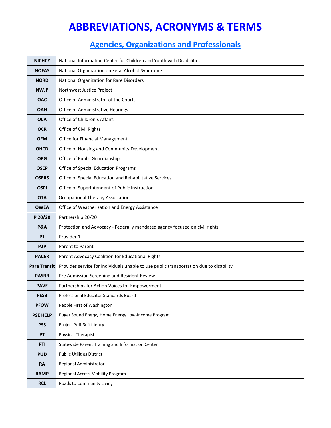| <b>NICHCY</b>       | National Information Center for Children and Youth with Disabilities                   |
|---------------------|----------------------------------------------------------------------------------------|
| <b>NOFAS</b>        | National Organization on Fetal Alcohol Syndrome                                        |
| <b>NORD</b>         | National Organization for Rare Disorders                                               |
| <b>NWJP</b>         | Northwest Justice Project                                                              |
| <b>OAC</b>          | Office of Administrator of the Courts                                                  |
| <b>OAH</b>          | Office of Administrative Hearings                                                      |
| <b>OCA</b>          | Office of Children's Affairs                                                           |
| <b>OCR</b>          | Office of Civil Rights                                                                 |
| <b>OFM</b>          | <b>Office for Financial Management</b>                                                 |
| <b>OHCD</b>         | Office of Housing and Community Development                                            |
| <b>OPG</b>          | Office of Public Guardianship                                                          |
| <b>OSEP</b>         | Office of Special Education Programs                                                   |
| <b>OSERS</b>        | Office of Special Education and Rehabilitative Services                                |
| <b>OSPI</b>         | Office of Superintendent of Public Instruction                                         |
| <b>OTA</b>          | <b>Occupational Therapy Association</b>                                                |
| <b>OWEA</b>         | Office of Weatherization and Energy Assistance                                         |
| P 20/20             | Partnership 20/20                                                                      |
| <b>P&amp;A</b>      | Protection and Advocacy - Federally mandated agency focused on civil rights            |
| <b>P1</b>           | Provider 1                                                                             |
| P <sub>2</sub> P    | Parent to Parent                                                                       |
| <b>PACER</b>        | Parent Advocacy Coalition for Educational Rights                                       |
| <b>Para Transit</b> | Provides service for individuals unable to use public transportation due to disability |
| <b>PASRR</b>        | Pre Admission Screening and Resident Review                                            |
| <b>PAVE</b>         | Partnerships for Action Voices for Empowerment                                         |
| <b>PESB</b>         | Professional Educator Standards Board                                                  |
| <b>PFOW</b>         | People First of Washington                                                             |
| <b>PSE HELP</b>     | Puget Sound Energy Home Energy Low-Income Program                                      |
| <b>PSS</b>          | Project Self-Sufficiency                                                               |
| PT                  | Physical Therapist                                                                     |
| PTI                 | Statewide Parent Training and Information Center                                       |
| <b>PUD</b>          | <b>Public Utilities District</b>                                                       |
| RA                  | Regional Administrator                                                                 |
| <b>RAMP</b>         | Regional Access Mobility Program                                                       |
| <b>RCL</b>          | Roads to Community Living                                                              |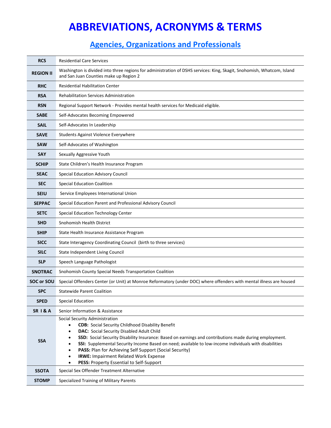| <b>RCS</b>         | <b>Residential Care Services</b>                                                                                                                                                                                                                                                                                                                                                                                                                                                                                                                         |
|--------------------|----------------------------------------------------------------------------------------------------------------------------------------------------------------------------------------------------------------------------------------------------------------------------------------------------------------------------------------------------------------------------------------------------------------------------------------------------------------------------------------------------------------------------------------------------------|
| <b>REGION II</b>   | Washington is divided into three regions for administration of DSHS services: King, Skagit, Snohomish, Whatcom, Island<br>and San Juan Counties make up Region 2                                                                                                                                                                                                                                                                                                                                                                                         |
| <b>RHC</b>         | <b>Residential Habilitation Center</b>                                                                                                                                                                                                                                                                                                                                                                                                                                                                                                                   |
| <b>RSA</b>         | Rehabilitation Services Administration                                                                                                                                                                                                                                                                                                                                                                                                                                                                                                                   |
| <b>RSN</b>         | Regional Support Network - Provides mental health services for Medicaid eligible.                                                                                                                                                                                                                                                                                                                                                                                                                                                                        |
| <b>SABE</b>        | Self-Advocates Becoming Empowered                                                                                                                                                                                                                                                                                                                                                                                                                                                                                                                        |
| <b>SAIL</b>        | Self-Advocates In Leadership                                                                                                                                                                                                                                                                                                                                                                                                                                                                                                                             |
| <b>SAVE</b>        | Students Against Violence Everywhere                                                                                                                                                                                                                                                                                                                                                                                                                                                                                                                     |
| <b>SAW</b>         | Self-Advocates of Washington                                                                                                                                                                                                                                                                                                                                                                                                                                                                                                                             |
| <b>SAY</b>         | Sexually Aggressive Youth                                                                                                                                                                                                                                                                                                                                                                                                                                                                                                                                |
| <b>SCHIP</b>       | State Children's Health Insurance Program                                                                                                                                                                                                                                                                                                                                                                                                                                                                                                                |
| <b>SEAC</b>        | Special Education Advisory Council                                                                                                                                                                                                                                                                                                                                                                                                                                                                                                                       |
| <b>SEC</b>         | <b>Special Education Coalition</b>                                                                                                                                                                                                                                                                                                                                                                                                                                                                                                                       |
| <b>SEIU</b>        | Service Employees International Union                                                                                                                                                                                                                                                                                                                                                                                                                                                                                                                    |
| <b>SEPPAC</b>      | Special Education Parent and Professional Advisory Council                                                                                                                                                                                                                                                                                                                                                                                                                                                                                               |
| <b>SETC</b>        | Special Education Technology Center                                                                                                                                                                                                                                                                                                                                                                                                                                                                                                                      |
| <b>SHD</b>         | Snohomish Health District                                                                                                                                                                                                                                                                                                                                                                                                                                                                                                                                |
| <b>SHIP</b>        | State Health Insurance Assistance Program                                                                                                                                                                                                                                                                                                                                                                                                                                                                                                                |
| <b>SICC</b>        | State Interagency Coordinating Council (birth to three services)                                                                                                                                                                                                                                                                                                                                                                                                                                                                                         |
| <b>SILC</b>        | State Independent Living Council                                                                                                                                                                                                                                                                                                                                                                                                                                                                                                                         |
| <b>SLP</b>         | Speech Language Pathologist                                                                                                                                                                                                                                                                                                                                                                                                                                                                                                                              |
| <b>SNOTRAC</b>     | Snohomish County Special Needs Transportation Coalition                                                                                                                                                                                                                                                                                                                                                                                                                                                                                                  |
| <b>SOC or SOU</b>  | Special Offenders Center (or Unit) at Monroe Reformatory (under DOC) where offenders with mental illness are housed                                                                                                                                                                                                                                                                                                                                                                                                                                      |
| <b>SPC</b>         | <b>Statewide Parent Coalition</b>                                                                                                                                                                                                                                                                                                                                                                                                                                                                                                                        |
| <b>SPED</b>        | <b>Special Education</b>                                                                                                                                                                                                                                                                                                                                                                                                                                                                                                                                 |
| <b>SR 1&amp; A</b> | Senior Information & Assistance                                                                                                                                                                                                                                                                                                                                                                                                                                                                                                                          |
| <b>SSA</b>         | Social Security Administration<br><b>CDB:</b> Social Security Childhood Disability Benefit<br><b>DAC:</b> Social Security Disabled Adult Child<br>$\bullet$<br>SSD: Social Security Disability Insurance: Based on earnings and contributions made during employment.<br>٠<br>SSI: Supplemental Security Income Based on need; available to low-income individuals with disabilities<br>$\bullet$<br>PASS: Plan for Achieving Self Support (Social Security)<br><b>IRWE: Impairment Related Work Expense</b><br>PESS: Property Essential to Self-Support |
| <b>SSOTA</b>       | Special Sex Offender Treatment Alternative                                                                                                                                                                                                                                                                                                                                                                                                                                                                                                               |
| <b>STOMP</b>       | Specialized Training of Military Parents                                                                                                                                                                                                                                                                                                                                                                                                                                                                                                                 |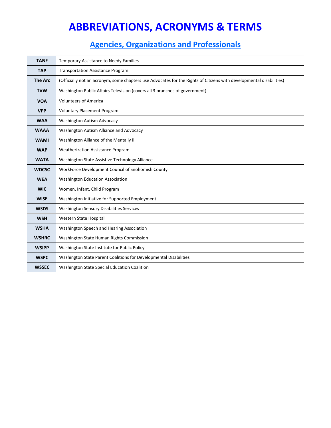| <b>TANF</b>    | Temporary Assistance to Needy Families                                                                              |
|----------------|---------------------------------------------------------------------------------------------------------------------|
| <b>TAP</b>     | <b>Transportation Assistance Program</b>                                                                            |
| <b>The Arc</b> | (Officially not an acronym, some chapters use Advocates for the Rights of Citizens with developmental disabilities) |
| <b>TVW</b>     | Washington Public Affairs Television (covers all 3 branches of government)                                          |
| <b>VOA</b>     | <b>Volunteers of America</b>                                                                                        |
| <b>VPP</b>     | <b>Voluntary Placement Program</b>                                                                                  |
| <b>WAA</b>     | <b>Washington Autism Advocacy</b>                                                                                   |
| <b>WAAA</b>    | Washington Autism Alliance and Advocacy                                                                             |
| <b>WAMI</b>    | Washington Alliance of the Mentally III                                                                             |
| <b>WAP</b>     | <b>Weatherization Assistance Program</b>                                                                            |
| <b>WATA</b>    | Washington State Assistive Technology Alliance                                                                      |
| <b>WDCSC</b>   | WorkForce Development Council of Snohomish County                                                                   |
| <b>WEA</b>     | <b>Washington Education Association</b>                                                                             |
| <b>WIC</b>     | Women, Infant, Child Program                                                                                        |
| <b>WISE</b>    | Washington Initiative for Supported Employment                                                                      |
| <b>WSDS</b>    | <b>Washington Sensory Disabilities Services</b>                                                                     |
| <b>WSH</b>     | Western State Hospital                                                                                              |
| <b>WSHA</b>    | Washington Speech and Hearing Association                                                                           |
| <b>WSHRC</b>   | Washington State Human Rights Commission                                                                            |
| <b>WSIPP</b>   | Washington State Institute for Public Policy                                                                        |
| <b>WSPC</b>    | Washington State Parent Coalitions for Developmental Disabilities                                                   |
| <b>WSSEC</b>   | Washington State Special Education Coalition                                                                        |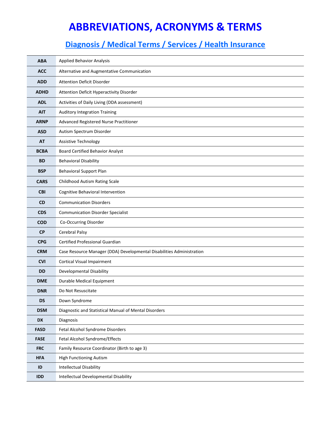### **Diagnosis / Medical Terms / Services / Health Insurance**

| <b>ABA</b>  | <b>Applied Behavior Analysis</b>                                      |
|-------------|-----------------------------------------------------------------------|
| <b>ACC</b>  | Alternative and Augmentative Communication                            |
| <b>ADD</b>  | <b>Attention Deficit Disorder</b>                                     |
| <b>ADHD</b> | Attention Deficit Hyperactivity Disorder                              |
| <b>ADL</b>  | Activities of Daily Living (DDA assessment)                           |
| <b>AIT</b>  | <b>Auditory Integration Training</b>                                  |
| <b>ARNP</b> | Advanced Registered Nurse Practitioner                                |
| <b>ASD</b>  | Autism Spectrum Disorder                                              |
| <b>AT</b>   | Assistive Technology                                                  |
| <b>BCBA</b> | <b>Board Certified Behavior Analyst</b>                               |
| <b>BD</b>   | <b>Behavioral Disability</b>                                          |
| <b>BSP</b>  | <b>Behavioral Support Plan</b>                                        |
| <b>CARS</b> | Childhood Autism Rating Scale                                         |
| <b>CBI</b>  | Cognitive Behavioral Intervention                                     |
| CD          | <b>Communication Disorders</b>                                        |
| <b>CDS</b>  | <b>Communication Disorder Specialist</b>                              |
| <b>COD</b>  | Co-Occurring Disorder                                                 |
| <b>CP</b>   | Cerebral Palsy                                                        |
| <b>CPG</b>  | Certified Professional Guardian                                       |
| <b>CRM</b>  | Case Resource Manager (DDA) Developmental Disabilities Administration |
| <b>CVI</b>  | <b>Cortical Visual Impairment</b>                                     |
| <b>DD</b>   | Developmental Disability                                              |
| <b>DME</b>  | Durable Medical Equipment                                             |
| <b>DNR</b>  | Do Not Resuscitate                                                    |
| <b>DS</b>   | Down Syndrome                                                         |
| <b>DSM</b>  | Diagnostic and Statistical Manual of Mental Disorders                 |
| <b>DX</b>   | Diagnosis                                                             |
| <b>FASD</b> | Fetal Alcohol Syndrome Disorders                                      |
| <b>FASE</b> | Fetal Alcohol Syndrome/Effects                                        |
| <b>FRC</b>  | Family Resource Coordinator (Birth to age 3)                          |
| <b>HFA</b>  | <b>High Functioning Autism</b>                                        |
| ID          | <b>Intellectual Disability</b>                                        |
| <b>IDD</b>  | Intellectual Developmental Disability                                 |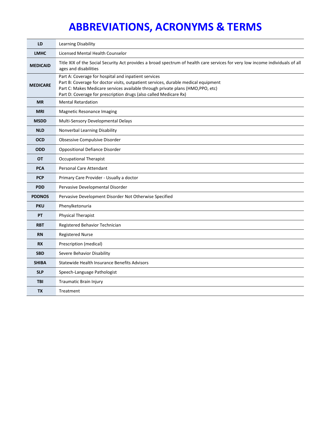| LD              | Learning Disability                                                                                                                                                                                                                                                                                |
|-----------------|----------------------------------------------------------------------------------------------------------------------------------------------------------------------------------------------------------------------------------------------------------------------------------------------------|
| <b>LMHC</b>     | Licensed Mental Health Counselor                                                                                                                                                                                                                                                                   |
| <b>MEDICAID</b> | Title XIX of the Social Security Act provides a broad spectrum of health care services for very low income individuals of all<br>ages and disabilities                                                                                                                                             |
| <b>MEDICARE</b> | Part A: Coverage for hospital and inpatient services<br>Part B: Coverage for doctor visits, outpatient services, durable medical equipment<br>Part C: Makes Medicare services available through private plans (HMO, PPO, etc)<br>Part D: Coverage for prescription drugs (also called Medicare Rx) |
| <b>MR</b>       | <b>Mental Retardation</b>                                                                                                                                                                                                                                                                          |
| <b>MRI</b>      | Magnetic Resonance Imaging                                                                                                                                                                                                                                                                         |
| <b>MSDD</b>     | Multi-Sensory Developmental Delays                                                                                                                                                                                                                                                                 |
| <b>NLD</b>      | Nonverbal Learning Disability                                                                                                                                                                                                                                                                      |
| <b>OCD</b>      | Obsessive Compulsive Disorder                                                                                                                                                                                                                                                                      |
| <b>ODD</b>      | <b>Oppositional Defiance Disorder</b>                                                                                                                                                                                                                                                              |
| <b>OT</b>       | <b>Occupational Therapist</b>                                                                                                                                                                                                                                                                      |
| <b>PCA</b>      | Personal Care Attendant                                                                                                                                                                                                                                                                            |
| <b>PCP</b>      | Primary Care Provider - Usually a doctor                                                                                                                                                                                                                                                           |
| <b>PDD</b>      | Pervasive Developmental Disorder                                                                                                                                                                                                                                                                   |
| <b>PDDNOS</b>   | Pervasive Development Disorder Not Otherwise Specified                                                                                                                                                                                                                                             |
| <b>PKU</b>      | Phenylketonuria                                                                                                                                                                                                                                                                                    |
| PT              | <b>Physical Therapist</b>                                                                                                                                                                                                                                                                          |
| <b>RBT</b>      | Registered Behavior Technician                                                                                                                                                                                                                                                                     |
| <b>RN</b>       | <b>Registered Nurse</b>                                                                                                                                                                                                                                                                            |
| <b>RX</b>       | Prescription (medical)                                                                                                                                                                                                                                                                             |
| <b>SBD</b>      | Severe Behavior Disability                                                                                                                                                                                                                                                                         |
| <b>SHIBA</b>    | Statewide Health Insurance Benefits Advisors                                                                                                                                                                                                                                                       |
| <b>SLP</b>      | Speech-Language Pathologist                                                                                                                                                                                                                                                                        |
| <b>TBI</b>      | Traumatic Brain Injury                                                                                                                                                                                                                                                                             |
| <b>TX</b>       | Treatment                                                                                                                                                                                                                                                                                          |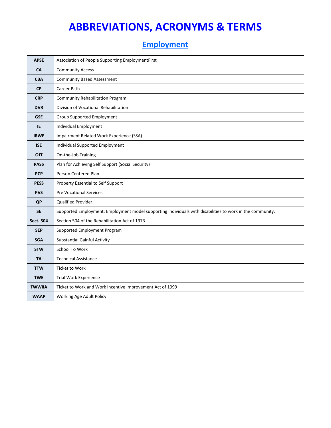### **Employment**

| <b>APSE</b>      | Association of People Supporting EmploymentFirst                                                          |
|------------------|-----------------------------------------------------------------------------------------------------------|
| <b>CA</b>        | <b>Community Access</b>                                                                                   |
| <b>CBA</b>       | <b>Community Based Assessment</b>                                                                         |
| <b>CP</b>        | Career Path                                                                                               |
| <b>CRP</b>       | <b>Community Rehabilitation Program</b>                                                                   |
| <b>DVR</b>       | Division of Vocational Rehabilitation                                                                     |
| <b>GSE</b>       | Group Supported Employment                                                                                |
| IE               | Individual Employment                                                                                     |
| <b>IRWE</b>      | Impairment Related Work Experience (SSA)                                                                  |
| <b>ISE</b>       | Individual Supported Employment                                                                           |
| <b>OJT</b>       | On-the-Job Training                                                                                       |
| <b>PASS</b>      | Plan for Achieving Self Support (Social Security)                                                         |
| <b>PCP</b>       | Person Centered Plan                                                                                      |
| <b>PESS</b>      | Property Essential to Self Support                                                                        |
| <b>PVS</b>       | <b>Pre Vocational Services</b>                                                                            |
| <b>QP</b>        | Qualified Provider                                                                                        |
| <b>SE</b>        | Supported Employment: Employment model supporting individuals with disabilities to work in the community. |
| <b>Sect. 504</b> | Section 504 of the Rehabilitation Act of 1973                                                             |
| <b>SEP</b>       | Supported Employment Program                                                                              |
| <b>SGA</b>       | <b>Substantial Gainful Activity</b>                                                                       |
| <b>STW</b>       | School To Work                                                                                            |
| <b>TA</b>        | <b>Technical Assistance</b>                                                                               |
| <b>TTW</b>       | <b>Ticket to Work</b>                                                                                     |
| <b>TWE</b>       | <b>Trial Work Experience</b>                                                                              |
| <b>TWWIIA</b>    | Ticket to Work and Work Incentive Improvement Act of 1999                                                 |
| <b>WAAP</b>      | Working Age Adult Policy                                                                                  |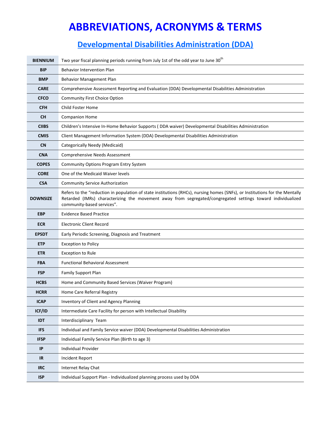### **Developmental Disabilities Administration (DDA)**

| <b>BIENNIUM</b> | Two year fiscal planning periods running from July 1st of the odd year to June 30 <sup>th</sup>                                                                                                                                                                          |
|-----------------|--------------------------------------------------------------------------------------------------------------------------------------------------------------------------------------------------------------------------------------------------------------------------|
| <b>BIP</b>      | <b>Behavior Intervention Plan</b>                                                                                                                                                                                                                                        |
| <b>BMP</b>      | Behavior Management Plan                                                                                                                                                                                                                                                 |
| <b>CARE</b>     | Comprehensive Assessment Reporting and Evaluation (DDA) Developmental Disabilities Administration                                                                                                                                                                        |
| <b>CFCO</b>     | <b>Community First Choice Option</b>                                                                                                                                                                                                                                     |
| <b>CFH</b>      | Child Foster Home                                                                                                                                                                                                                                                        |
| <b>CH</b>       | <b>Companion Home</b>                                                                                                                                                                                                                                                    |
| <b>CIIBS</b>    | Children's Intensive In-Home Behavior Supports (DDA waiver) Developmental Disabilities Administration                                                                                                                                                                    |
| <b>CMIS</b>     | Client Management Information System (DDA) Developmental Disabilities Administration                                                                                                                                                                                     |
| <b>CN</b>       | Categorically Needy (Medicaid)                                                                                                                                                                                                                                           |
| <b>CNA</b>      | <b>Comprehensive Needs Assessment</b>                                                                                                                                                                                                                                    |
| <b>COPES</b>    | <b>Community Options Program Entry System</b>                                                                                                                                                                                                                            |
| <b>CORE</b>     | One of the Medicaid Waiver levels                                                                                                                                                                                                                                        |
| <b>CSA</b>      | <b>Community Service Authorization</b>                                                                                                                                                                                                                                   |
| <b>DOWNSIZE</b> | Refers to the "reduction in population of state institutions (RHCs), nursing homes (SNFs), or Institutions for the Mentally<br>Retarded (IMRs) characterizing the movement away from segregated/congregated settings toward individualized<br>community-based services". |
| <b>EBP</b>      | <b>Evidence Based Practice</b>                                                                                                                                                                                                                                           |
| <b>ECR</b>      | <b>Electronic Client Record</b>                                                                                                                                                                                                                                          |
| <b>EPSDT</b>    | Early Periodic Screening, Diagnosis and Treatment                                                                                                                                                                                                                        |
| <b>ETP</b>      | <b>Exception to Policy</b>                                                                                                                                                                                                                                               |
| <b>ETR</b>      | <b>Exception to Rule</b>                                                                                                                                                                                                                                                 |
| <b>FBA</b>      | <b>Functional Behavioral Assessment</b>                                                                                                                                                                                                                                  |
| <b>FSP</b>      | <b>Family Support Plan</b>                                                                                                                                                                                                                                               |
| <b>HCBS</b>     | Home and Community Based Services (Waiver Program)                                                                                                                                                                                                                       |
| <b>HCRR</b>     | Home Care Referral Registry                                                                                                                                                                                                                                              |
| <b>ICAP</b>     | Inventory of Client and Agency Planning                                                                                                                                                                                                                                  |
| ICF/ID          | Intermediate Care Facility for person with Intellectual Disability                                                                                                                                                                                                       |
| <b>IDT</b>      | Interdisciplinary Team                                                                                                                                                                                                                                                   |
| <b>IFS</b>      | Individual and Family Service waiver (DDA) Developmental Disabilities Administration                                                                                                                                                                                     |
| <b>IFSP</b>     | Individual Family Service Plan (Birth to age 3)                                                                                                                                                                                                                          |
| IP              | <b>Individual Provider</b>                                                                                                                                                                                                                                               |
| <b>IR</b>       | Incident Report                                                                                                                                                                                                                                                          |
| <b>IRC</b>      | Internet Relay Chat                                                                                                                                                                                                                                                      |
| <b>ISP</b>      | Individual Support Plan - Individualized planning process used by DDA                                                                                                                                                                                                    |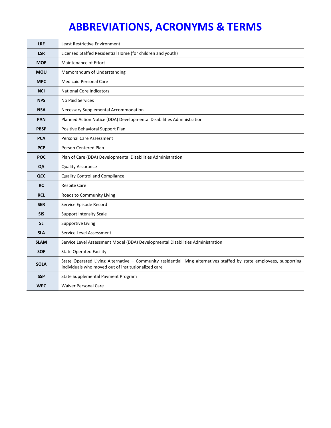| <b>LRE</b>  | Least Restrictive Environment                                                                                                                                               |
|-------------|-----------------------------------------------------------------------------------------------------------------------------------------------------------------------------|
| <b>LSR</b>  | Licensed Staffed Residential Home (for children and youth)                                                                                                                  |
| <b>MOE</b>  | <b>Maintenance of Effort</b>                                                                                                                                                |
| <b>MOU</b>  | Memorandum of Understanding                                                                                                                                                 |
| <b>MPC</b>  | <b>Medicaid Personal Care</b>                                                                                                                                               |
| <b>NCI</b>  | <b>National Core Indicators</b>                                                                                                                                             |
| <b>NPS</b>  | No Paid Services                                                                                                                                                            |
| <b>NSA</b>  | Necessary Supplemental Accommodation                                                                                                                                        |
| <b>PAN</b>  | Planned Action Notice (DDA) Developmental Disabilities Administration                                                                                                       |
| <b>PBSP</b> | Positive Behavioral Support Plan                                                                                                                                            |
| <b>PCA</b>  | <b>Personal Care Assessment</b>                                                                                                                                             |
| <b>PCP</b>  | Person Centered Plan                                                                                                                                                        |
| <b>POC</b>  | Plan of Care (DDA) Developmental Disabilities Administration                                                                                                                |
| QA          | <b>Quality Assurance</b>                                                                                                                                                    |
| QCC         | Quality Control and Compliance                                                                                                                                              |
| <b>RC</b>   | <b>Respite Care</b>                                                                                                                                                         |
| <b>RCL</b>  | Roads to Community Living                                                                                                                                                   |
| <b>SER</b>  | Service Episode Record                                                                                                                                                      |
| <b>SIS</b>  | <b>Support Intensity Scale</b>                                                                                                                                              |
| <b>SL</b>   | <b>Supportive Living</b>                                                                                                                                                    |
| <b>SLA</b>  | Service Level Assessment                                                                                                                                                    |
| <b>SLAM</b> | Service Level Assessment Model (DDA) Developmental Disabilities Administration                                                                                              |
| <b>SOF</b>  | <b>State Operated Facility</b>                                                                                                                                              |
| <b>SOLA</b> | State Operated Living Alternative - Community residential living alternatives staffed by state employees, supporting<br>individuals who moved out of institutionalized care |
| <b>SSP</b>  | State Supplemental Payment Program                                                                                                                                          |
| <b>WPC</b>  | <b>Waiver Personal Care</b>                                                                                                                                                 |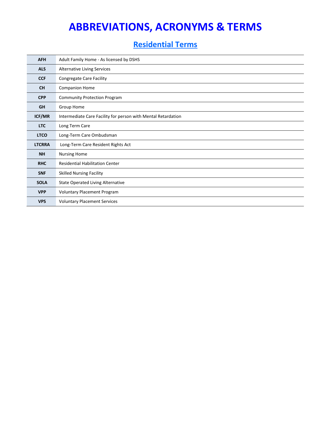### **Residential Terms**

| <b>AFH</b>    | Adult Family Home - As licensed by DSHS                       |
|---------------|---------------------------------------------------------------|
| <b>ALS</b>    | <b>Alternative Living Services</b>                            |
| <b>CCF</b>    | Congregate Care Facility                                      |
| <b>CH</b>     | <b>Companion Home</b>                                         |
| <b>CPP</b>    | <b>Community Protection Program</b>                           |
| <b>GH</b>     | Group Home                                                    |
| ICF/MR        | Intermediate Care Facility for person with Mental Retardation |
| <b>LTC</b>    | Long Term Care                                                |
| <b>LTCO</b>   | Long-Term Care Ombudsman                                      |
| <b>LTCRRA</b> | Long-Term Care Resident Rights Act                            |
| <b>NH</b>     | <b>Nursing Home</b>                                           |
| <b>RHC</b>    | <b>Residential Habilitation Center</b>                        |
| <b>SNF</b>    | <b>Skilled Nursing Facility</b>                               |
| <b>SOLA</b>   | <b>State Operated Living Alternative</b>                      |
| <b>VPP</b>    | Voluntary Placement Program                                   |
| <b>VPS</b>    | <b>Voluntary Placement Services</b>                           |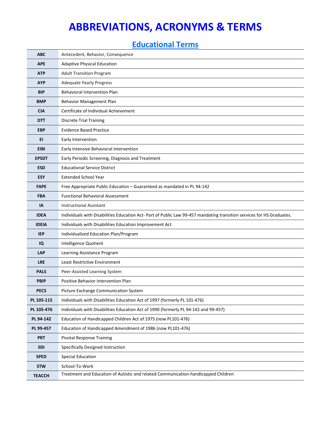### **Educational Terms**

| <b>ABC</b>    | Antecedent, Behavior, Consequence                                                                                      |
|---------------|------------------------------------------------------------------------------------------------------------------------|
| <b>APE</b>    | <b>Adaptive Physical Education</b>                                                                                     |
| <b>ATP</b>    | <b>Adult Transition Program</b>                                                                                        |
| <b>AYP</b>    | <b>Adequate Yearly Progress</b>                                                                                        |
| <b>BIP</b>    | <b>Behavioral Intervention Plan</b>                                                                                    |
| <b>BMP</b>    | Behavior Management Plan                                                                                               |
| <b>CIA</b>    | Certificate of Individual Achievement                                                                                  |
| <b>DTT</b>    | <b>Discrete Trial Training</b>                                                                                         |
| <b>EBP</b>    | <b>Evidence Based Practice</b>                                                                                         |
| EI.           | Early Intervention                                                                                                     |
| <b>EIBI</b>   | Early Intensive Behavioral Intervention                                                                                |
| <b>EPSDT</b>  | Early Periodic Screening, Diagnosis and Treatment                                                                      |
| <b>ESD</b>    | <b>Educational Service District</b>                                                                                    |
| <b>ESY</b>    | <b>Extended School Year</b>                                                                                            |
| <b>FAPE</b>   | Free Appropriate Public Education - Guaranteed as mandated in PL 94-142                                                |
| <b>FBA</b>    | <b>Functional Behavioral Assessment</b>                                                                                |
| IA            | <b>Instructional Assistant</b>                                                                                         |
| <b>IDEA</b>   | Individuals with Disabilities Education Act- Part of Public Law 99-457 mandating transition services for HS Graduates. |
| <b>IDEIA</b>  | Individuals with Disabilities Education Improvement Act                                                                |
| <b>IEP</b>    | Individualized Education Plan/Program                                                                                  |
| IQ            | Intelligence Quotient                                                                                                  |
| <b>LAP</b>    | Learning Assistance Program                                                                                            |
| <b>LRE</b>    | Least Restrictive Environment                                                                                          |
| <b>PALS</b>   | Peer-Assisted Learning System                                                                                          |
| <b>PBIP</b>   | Positive Behavior Intervention Plan                                                                                    |
| <b>PECS</b>   | Picture Exchange Communication System                                                                                  |
| PL 105-115    | Individuals with Disabilities Education Act of 1997 (formerly PL 101-476)                                              |
| PL 105-476    | Individuals with Disabilities Education Act of 1990 (formerly PL 94-142 and 99-457)                                    |
| PL 94-142     | Education of Handicapped Children Act of 1975 (now PL101-476)                                                          |
| PL 99-457     | Education of Handicapped Amendment of 1986 (now PL101-476)                                                             |
| <b>PRT</b>    | <b>Pivotal Response Training</b>                                                                                       |
| <b>SDI</b>    | Specifically Designed Instruction                                                                                      |
| <b>SPED</b>   | <b>Special Education</b>                                                                                               |
| <b>STW</b>    | School-To-Work                                                                                                         |
| <b>TEACCH</b> | Treatment and Education of Autistic and related Communication-handicapped Children                                     |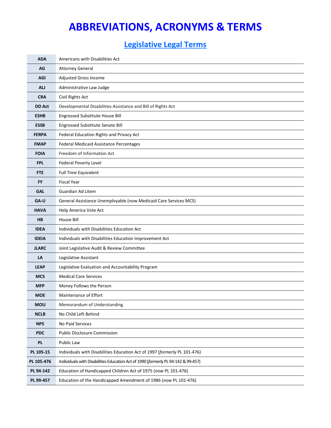### **Legislative Legal Terms**

| <b>ADA</b>    | Americans with Disabilities Act                                                   |
|---------------|-----------------------------------------------------------------------------------|
| AG            | <b>Attorney General</b>                                                           |
| <b>AGI</b>    | <b>Adjusted Gross Income</b>                                                      |
| ALJ           | Administrative Law Judge                                                          |
| <b>CRA</b>    | Civil Rights Act                                                                  |
| <b>DD Act</b> | Developmental Disabilities Assistance and Bill of Rights Act                      |
| <b>ESHB</b>   | Engrossed Substitute House Bill                                                   |
| <b>ESSB</b>   | <b>Engrossed Substitute Senate Bill</b>                                           |
| <b>FERPA</b>  | Federal Education Rights and Privacy Act                                          |
| <b>FMAP</b>   | <b>Federal Medicaid Assistance Percentages</b>                                    |
| <b>FOIA</b>   | Freedom of Information Act                                                        |
| <b>FPL</b>    | Federal Poverty Level                                                             |
| <b>FTE</b>    | <b>Full Time Equivalent</b>                                                       |
| <b>FY</b>     | <b>Fiscal Year</b>                                                                |
| <b>GAL</b>    | Guardian Ad Litem                                                                 |
| GA-U          | General Assistance Unemployable (now Medicaid Care Services MCS)                  |
| <b>HAVA</b>   | Help America Vote Act                                                             |
| <b>HB</b>     | House Bill                                                                        |
| <b>IDEA</b>   | Individuals with Disabilities Education Act                                       |
| <b>IDEIA</b>  | Individuals with Disabilities Education Improvement Act                           |
| <b>JLARC</b>  | Joint Legislative Audit & Review Committee                                        |
| LA            | Legislative Assistant                                                             |
| <b>LEAP</b>   | Legislative Evaluation and Accountability Program                                 |
| <b>MCS</b>    | <b>Medical Care Services</b>                                                      |
| <b>MFP</b>    | Money Follows the Person                                                          |
| <b>MOE</b>    | Maintenance of Effort                                                             |
| <b>MOU</b>    | Memorandum of Understanding                                                       |
| <b>NCLB</b>   | No Child Left Behind                                                              |
| <b>NPS</b>    | No Paid Services                                                                  |
| <b>PDC</b>    | Public Disclosure Commission                                                      |
| PL            | Public Law                                                                        |
| PL 105-15     | Individuals with Disabilities Education Act of 1997 (formerly PL 101-476)         |
| PL 105-476    | Individuals with Disabilities Education Act of 1990 (formerly PL 94-142 & 99-457) |
| PL 94-142     | Education of Handicapped Children Act of 1975 (now PL 101-476)                    |
| PL 99-457     | Education of the Handicapped Amendment of 1986 (now PL 101-476)                   |